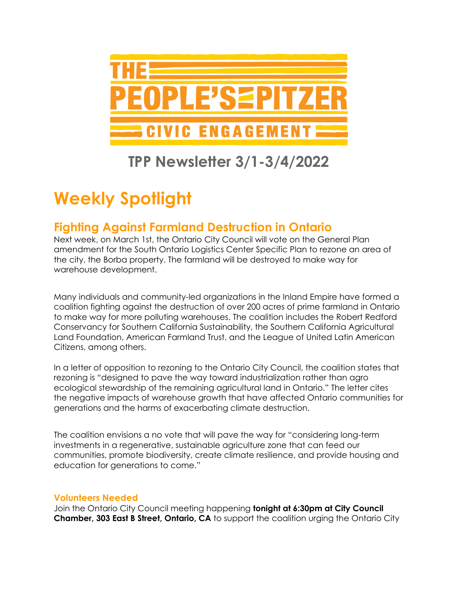

### **TPP Newsletter 3/1-3/4/2022**

# **Weekly Spotlight**

#### **Fighting Against Farmland Destruction in Ontario**

Next week, on March 1st, the Ontario City Council will vote on the General Plan amendment for the South Ontario Logistics Center Specific Plan to rezone an area of the city, the Borba property. The farmland will be destroyed to make way for warehouse development.

Many individuals and community-led organizations in the Inland Empire have formed a coalition fighting against the destruction of over 200 acres of prime farmland in Ontario to make way for more polluting warehouses. The coalition includes the Robert Redford Conservancy for Southern California Sustainability, the Southern California Agricultural Land Foundation, American Farmland Trust, and the League of United Latin American Citizens, among others.

In a letter of opposition to rezoning to the Ontario City Council, the coalition states that rezoning is "designed to pave the way toward industrialization rather than agro ecological stewardship of the remaining agricultural land in Ontario." The letter cites the negative impacts of warehouse growth that have affected Ontario communities for generations and the harms of exacerbating climate destruction.

The coalition envisions a no vote that will pave the way for "considering long-term investments in a regenerative, sustainable agriculture zone that can feed our communities, promote biodiversity, create climate resilience, and provide housing and education for generations to come."

#### **Volunteers Needed**

Join the Ontario City Council meeting happening **tonight at 6:30pm at City Council Chamber, 303 East B Street, Ontario, CA** to support the coalition urging the Ontario City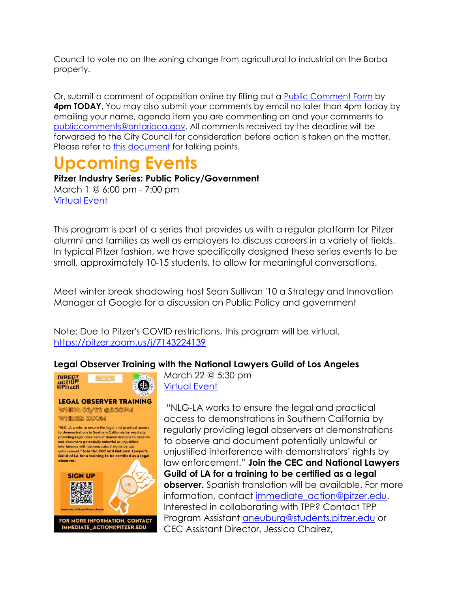Council to vote no on the zoning change from agricultural to industrial on the Borba property.

Or, submit a comment of opposition online by filling out a [Public Comment Form](https://seam.ly/gl0ZNwIQ) by **4pm TODAY**. You may also submit your comments by email no later than 4pm today by emailing your name, agenda item you are commenting on and your comments to [publiccomments@ontarioca.gov.](mailto:publiccomments@ontarioca.gov) All comments received by the deadline will be forwarded to the City Council for consideration before action is taken on the matter. Please refer to [this document](https://docs.google.com/document/d/1avFDKCOpQWtCP0MHdV8fVOh4ST34z0lqV78Q_jWLDGI/edit?usp=sharing) for talking points.

## **Upcoming Events**

**Pitzer Industry Series: Public Policy/Government** March 1 @ 6:00 pm - 7:00 pm [Virtual Event](https://pitzer.joinhandshake.com/stu/events/941652?ref=events-search)

This program is part of a series that provides us with a regular platform for Pitzer alumni and families as well as employers to discuss careers in a variety of fields. In typical Pitzer fashion, we have specifically designed these series events to be small, approximately 10-15 students, to allow for meaningful conversations.

Meet winter break shadowing host Sean Sullivan '10 a Strategy and Innovation Manager at Google for a discussion on Public Policy and government

Note: Due to Pitzer's COVID restrictions, this program will be virtual. <https://pitzer.zoom.us/j/7143224139>

#### **Legal Observer Training with the National Lawyers Guild of Los Angeles**



#### **LEGAL OBSERVER TRAINING** WHEN: 03/22 @5:30PM WHERE: ZOOM

"NLG-LA works to ensure the legal and practical access to demonstrations in Southern California by regularly<br>providing legal observers at demonstrations to observe and document potentially unlawful or unjustified interference with demonstrators' rights by law<br>enforcement." Join the CEC and National Lawyer's Guild of LA for a training to be certified as a legal observer.



March 22 @ 5:30 pm [Virtual Event](http://tinyurl.com/NLGLegalObserverSignUp)

"NLG-LA works to ensure the legal and practical access to demonstrations in Southern California by regularly providing legal observers at demonstrations to observe and document potentially unlawful or unjustified interference with demonstrators' rights by law enforcement." **Join the CEC and National Lawyers Guild of LA for a training to be certified as a legal observer.** Spanish translation will be available. For more information, contact [immediate\\_action@pitzer.edu.](mailto:immediate_action@pitzer.edu) Interested in collaborating with TPP? Contact TPP Program Assistant [aneuburg@students.pitzer.edu](mailto:aneuburg@students.pitzer.edu) or CEC Assistant Director, Jessica Chairez,